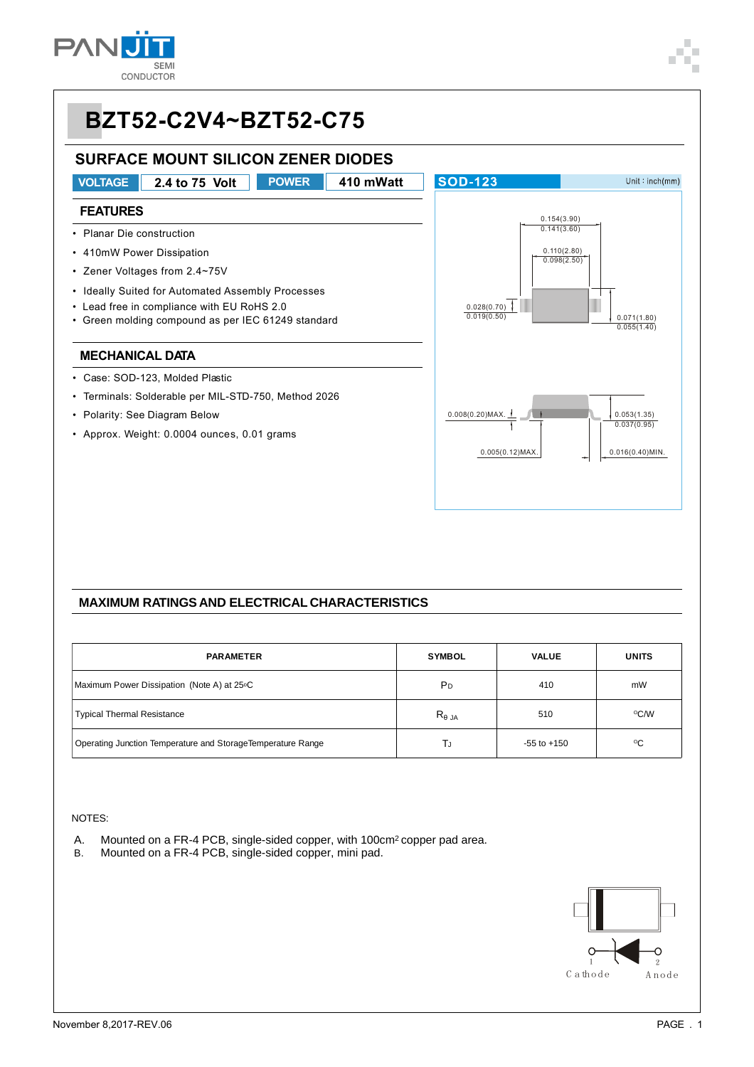

#### **BZT52-C2V4~BZT52-C75 SURFACE MOUNT SILICON ZENER DIODES VOLTAGE 2.4 to 75 Volt POWER 410 mWatt SOD-123**  $Unit : inch(mm)$ **FEATURES** 0.154(3.90)  $0.141(3.60)$ • Planar Die construction • 410mW Power Dissipation 0.110(2.80)  $0.098(2.50)$ • Zener Voltages from 2.4~75V • Ideally Suited for Automated Assembly Processes • Lead free in compliance with EU RoHS 2.0 0.028(0.70) 0.019(0.50) 0.071(1.80) • Green molding compound as per IEC 61249 standard  $0.055(1.40)$ **MECHANICAL DATA** • Case: SOD-123, Molded Plastic • Terminals: Solderable per MIL-STD-750, Method 2026 0.008(0.20)MAX. 0.053(1.35) • Polarity: See Diagram Below  $0.037(0.95)$ • Approx. Weight: 0.0004 ounces, 0.01 grams  $0.005(0.12)$ MAX. 0.016(0.40)MIN.

#### **MAXIMUM RATINGS AND ELECTRICAL CHARACTERISTICS**

| <b>PARAMETER</b>                                            | <b>SYMBOL</b>  | <b>VALUE</b>    | <b>UNITS</b>    |
|-------------------------------------------------------------|----------------|-----------------|-----------------|
| Maximum Power Dissipation (Note A) at 25°C                  | P <sub>D</sub> | 410             | mW              |
| <b>Typical Thermal Resistance</b>                           | $R_{JA}$       | 510             | °C/W            |
| Operating Junction Temperature and StorageTemperature Range | ГJ             | $-55$ to $+150$ | $\rm ^{\circ}C$ |

#### NOTES:

- A. Mounted on a FR-4 PCB, single-sided copper, with 100cm<sup>2</sup> copper pad area.<br>B. Mounted on a FR-4 PCB, single-sided copper, mini pad.
- Mounted on a FR-4 PCB, single-sided copper, mini pad.

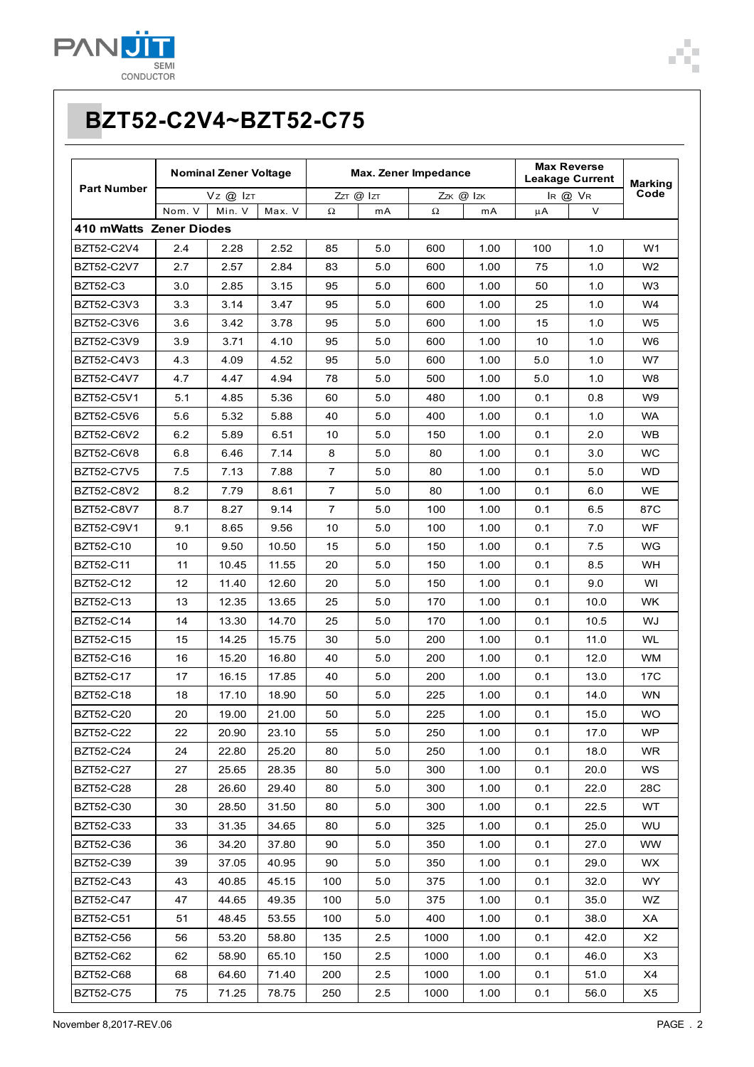

|                         | <b>Nominal Zener Voltage</b> |        | Max. Zener Impedance |                     |     |           | <b>Max Reverse</b><br><b>Leakage Current</b> |         | <b>Marking</b> |                |
|-------------------------|------------------------------|--------|----------------------|---------------------|-----|-----------|----------------------------------------------|---------|----------------|----------------|
| <b>Part Number</b>      | Vz @ Izt                     |        |                      | $ZzT \n\Phi$ $ zT $ |     | Zzk @ Izk |                                              | IR @ VR |                | Code           |
|                         | Nom. V                       | Min. V | Max. V               | $\Omega$            | mA  | $\Omega$  | mA                                           | μA      | V              |                |
| 410 mWatts Zener Diodes |                              |        |                      |                     |     |           |                                              |         |                |                |
| BZT52-C2V4              | 2.4                          | 2.28   | 2.52                 | 85                  | 5.0 | 600       | 1.00                                         | 100     | 1.0            | W <sub>1</sub> |
| BZT52-C2V7              | 2.7                          | 2.57   | 2.84                 | 83                  | 5.0 | 600       | 1.00                                         | 75      | 1.0            | W <sub>2</sub> |
| <b>BZT52-C3</b>         | 3.0                          | 2.85   | 3.15                 | 95                  | 5.0 | 600       | 1.00                                         | 50      | 1.0            | W <sub>3</sub> |
| BZT52-C3V3              | 3.3                          | 3.14   | 3.47                 | 95                  | 5.0 | 600       | 1.00                                         | 25      | 1.0            | W4             |
| BZT52-C3V6              | 3.6                          | 3.42   | 3.78                 | 95                  | 5.0 | 600       | 1.00                                         | 15      | 1.0            | W <sub>5</sub> |
| BZT52-C3V9              | 3.9                          | 3.71   | 4.10                 | 95                  | 5.0 | 600       | 1.00                                         | 10      | 1.0            | W6             |
| BZT52-C4V3              | 4.3                          | 4.09   | 4.52                 | 95                  | 5.0 | 600       | 1.00                                         | 5.0     | 1.0            | W7             |
| BZT52-C4V7              | 4.7                          | 4.47   | 4.94                 | 78                  | 5.0 | 500       | 1.00                                         | 5.0     | 1.0            | W8             |
| BZT52-C5V1              | 5.1                          | 4.85   | 5.36                 | 60                  | 5.0 | 480       | 1.00                                         | 0.1     | 0.8            | W9             |
| BZT52-C5V6              | 5.6                          | 5.32   | 5.88                 | 40                  | 5.0 | 400       | 1.00                                         | 0.1     | 1.0            | <b>WA</b>      |
| <b>BZT52-C6V2</b>       | 6.2                          | 5.89   | 6.51                 | 10                  | 5.0 | 150       | 1.00                                         | 0.1     | 2.0            | <b>WB</b>      |
| <b>BZT52-C6V8</b>       | 6.8                          | 6.46   | 7.14                 | 8                   | 5.0 | 80        | 1.00                                         | 0.1     | 3.0            | <b>WC</b>      |
| BZT52-C7V5              | 7.5                          | 7.13   | 7.88                 | $\overline{7}$      | 5.0 | 80        | 1.00                                         | 0.1     | 5.0            | WD.            |
| BZT52-C8V2              | 8.2                          | 7.79   | 8.61                 | 7                   | 5.0 | 80        | 1.00                                         | 0.1     | 6.0            | WE             |
| BZT52-C8V7              | 8.7                          | 8.27   | 9.14                 | 7                   | 5.0 | 100       | 1.00                                         | 0.1     | 6.5            | 87C            |
| BZT52-C9V1              | 9.1                          | 8.65   | 9.56                 | 10                  | 5.0 | 100       | 1.00                                         | 0.1     | 7.0            | WF             |
| BZT52-C10               | 10                           | 9.50   | 10.50                | 15                  | 5.0 | 150       | 1.00                                         | 0.1     | 7.5            | WG.            |
| BZT52-C11               | 11                           | 10.45  | 11.55                | 20                  | 5.0 | 150       | 1.00                                         | 0.1     | 8.5            | WH             |
| BZT52-C12               | 12                           | 11.40  | 12.60                | 20                  | 5.0 | 150       | 1.00                                         | 0.1     | 9.0            | WI             |
| BZT52-C13               | 13                           | 12.35  | 13.65                | 25                  | 5.0 | 170       | 1.00                                         | 0.1     | 10.0           | <b>WK</b>      |
| <b>BZT52-C14</b>        | 14                           | 13.30  | 14.70                | 25                  | 5.0 | 170       | 1.00                                         | 0.1     | 10.5           | WJ             |
| <b>BZT52-C15</b>        | 15                           | 14.25  | 15.75                | 30                  | 5.0 | 200       | 1.00                                         | 0.1     | 11.0           | <b>WL</b>      |
| BZT52-C16               | 16                           | 15.20  | 16.80                | 40                  | 5.0 | 200       | 1.00                                         | 0.1     | 12.0           | <b>WM</b>      |
| <b>BZT52-C17</b>        | 17                           | 16.15  | 17.85                | 40                  | 5.0 | 200       | 1.00                                         | 0.1     | 13.0           | 17C            |
| <b>BZT52-C18</b>        | 18                           | 17.10  | 18.90                | 50                  | 5.0 | 225       | 1.00                                         | 0.1     | 14.0           | <b>WN</b>      |
| <b>BZT52-C20</b>        | 20                           | 19.00  | 21.00                | 50                  | 5.0 | 225       | 1.00                                         | 0.1     | 15.0           | WO.            |
| <b>BZT52-C22</b>        | 22                           | 20.90  | 23.10                | 55                  | 5.0 | 250       | 1.00                                         | 0.1     | 17.0           | WP             |
| <b>BZT52-C24</b>        | 24                           | 22.80  | 25.20                | 80                  | 5.0 | 250       | 1.00                                         | 0.1     | 18.0           | <b>WR</b>      |
| <b>BZT52-C27</b>        | 27                           | 25.65  | 28.35                | 80                  | 5.0 | 300       | 1.00                                         | 0.1     | 20.0           | WS.            |
| <b>BZT52-C28</b>        | 28                           | 26.60  | 29.40                | 80                  | 5.0 | 300       | 1.00                                         | 0.1     | 22.0           | 28C            |
| BZT52-C30               | 30                           | 28.50  | 31.50                | 80                  | 5.0 | 300       | 1.00                                         | 0.1     | 22.5           | WT.            |
| BZT52-C33               | 33                           | 31.35  | 34.65                | 80                  | 5.0 | 325       | 1.00                                         | 0.1     | 25.0           | WU             |
| BZT52-C36               | 36                           | 34.20  | 37.80                | 90                  | 5.0 | 350       | 1.00                                         | 0.1     | 27.0           | <b>WW</b>      |
| BZT52-C39               | 39                           | 37.05  | 40.95                | 90                  | 5.0 | 350       | 1.00                                         | 0.1     | 29.0           | WX.            |
| BZT52-C43               | 43                           | 40.85  | 45.15                | 100                 | 5.0 | 375       | 1.00                                         | 0.1     | 32.0           | WY             |
| <b>BZT52-C47</b>        | 47                           | 44.65  | 49.35                | 100                 | 5.0 | 375       | 1.00                                         | 0.1     | 35.0           | WZ.            |
| <b>BZT52-C51</b>        | 51                           | 48.45  | 53.55                | 100                 | 5.0 | 400       | 1.00                                         | 0.1     | 38.0           | XA.            |
| <b>BZT52-C56</b>        | 56                           | 53.20  | 58.80                | 135                 | 2.5 | 1000      | 1.00                                         | 0.1     | 42.0           | X2             |
| BZT52-C62               | 62                           | 58.90  | 65.10                | 150                 | 2.5 | 1000      | 1.00                                         | 0.1     | 46.0           | X3             |
| <b>BZT52-C68</b>        | 68                           | 64.60  | 71.40                | 200                 | 2.5 | 1000      | 1.00                                         | 0.1     | 51.0           | X4             |
| <b>BZT52-C75</b>        | 75                           | 71.25  | 78.75                | 250                 | 2.5 | 1000      | 1.00                                         | 0.1     | 56.0           | X5             |

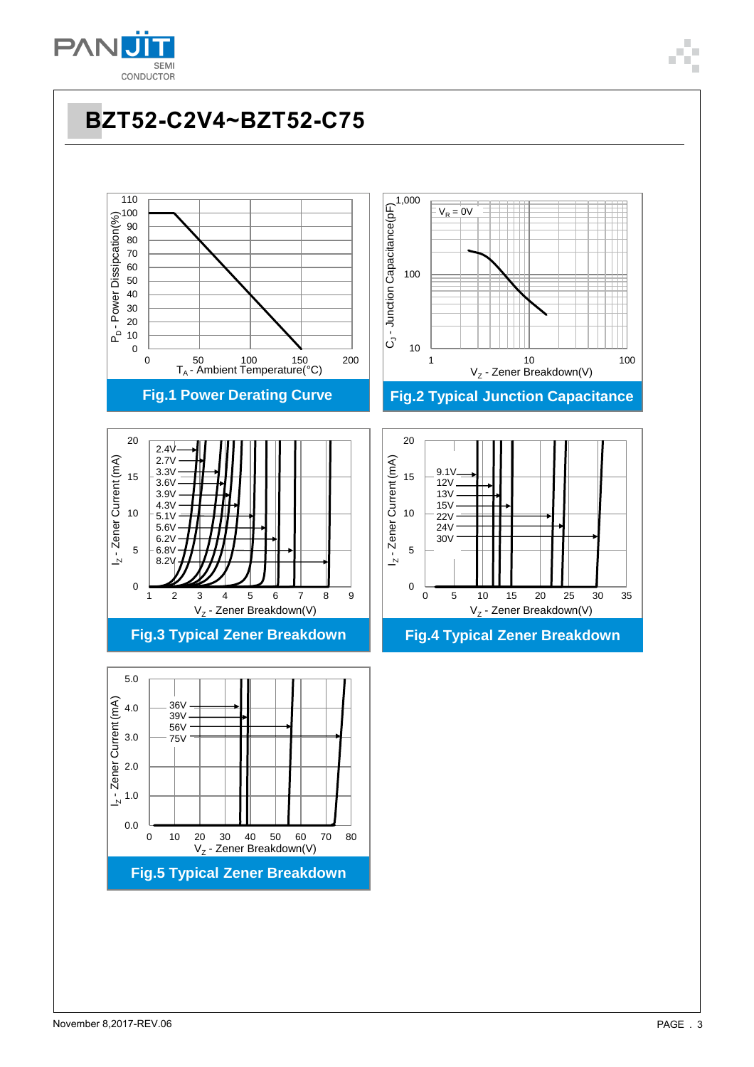

# **BZT52-C2V4~BZT52-C75**

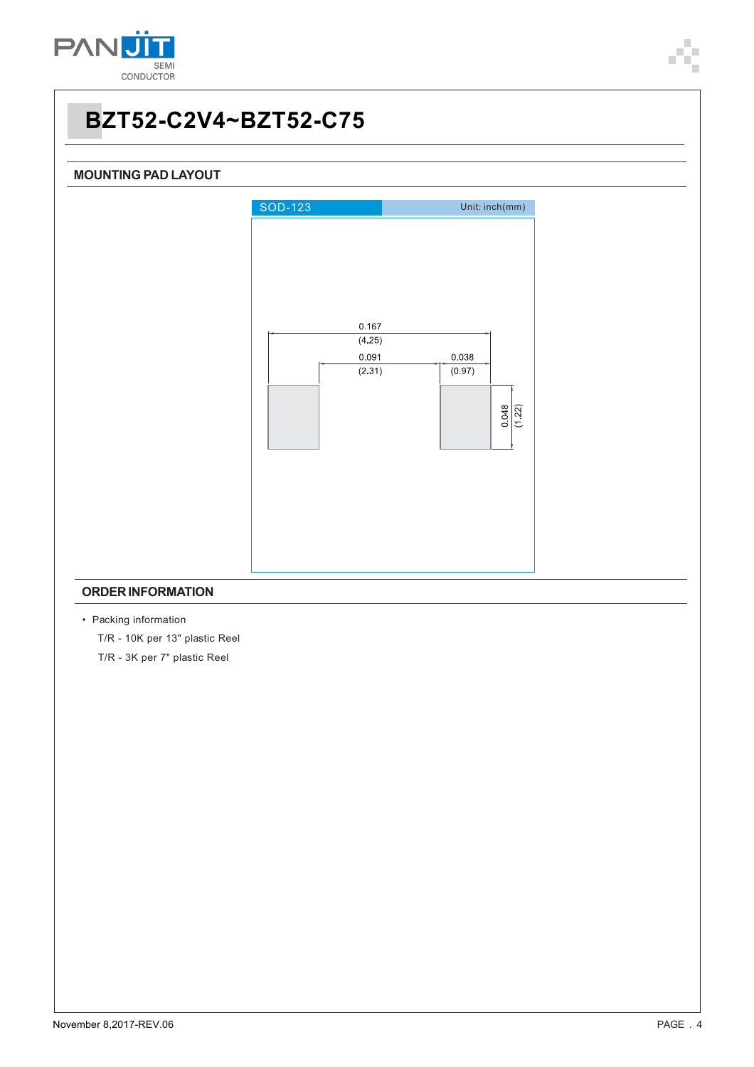



- Packing information T/R - 10K per 13" plastic Reel
	- T/R 3K per 7" plastic Reel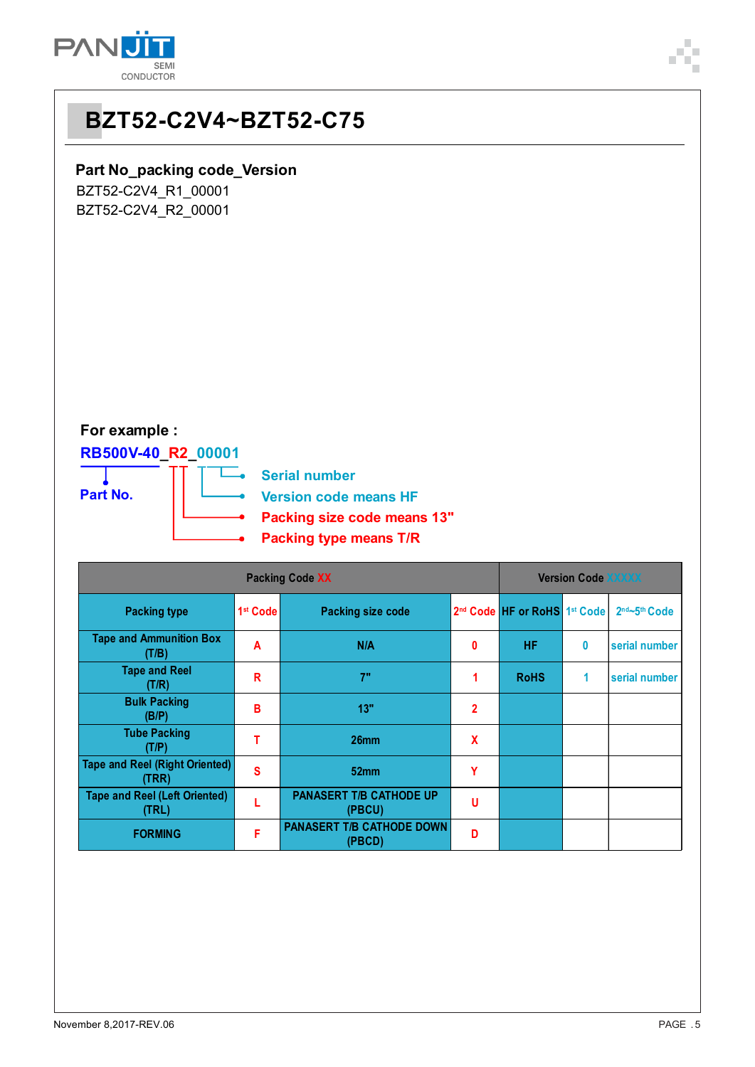

## **BZT52-C2V4~BZT52-C75**

#### **Part No\_packing code\_Version**

BZT52-C2V4\_R1\_00001 BZT52-C2V4\_R2\_00001

### **For example :**

### **RB500V-40\_R2\_00001**



| <b>Packing Code XX</b>                         |                      |                                            |              |                                                      | <b>Version Code XXXXX</b> |                             |  |  |
|------------------------------------------------|----------------------|--------------------------------------------|--------------|------------------------------------------------------|---------------------------|-----------------------------|--|--|
| <b>Packing type</b>                            | 1 <sup>st</sup> Code | <b>Packing size code</b>                   |              | 2 <sup>nd</sup> Code HF or RoHS 1 <sup>st</sup> Code |                           | $2nd$ -5 <sup>th</sup> Code |  |  |
| <b>Tape and Ammunition Box</b><br>(T/B)        | A                    | N/A                                        | 0            | <b>HF</b>                                            | 0                         | serial number               |  |  |
| <b>Tape and Reel</b><br>(T/R)                  | R                    | 7"                                         |              | <b>RoHS</b>                                          | 1                         | serial number               |  |  |
| <b>Bulk Packing</b><br>(B/P)                   | В                    | 13"                                        | $\mathbf{2}$ |                                                      |                           |                             |  |  |
| <b>Tube Packing</b><br>(T/P)                   | т                    | 26mm                                       | X            |                                                      |                           |                             |  |  |
| <b>Tape and Reel (Right Oriented)</b><br>(TRR) | S                    | 52 <sub>mm</sub>                           | Υ            |                                                      |                           |                             |  |  |
| <b>Tape and Reel (Left Oriented)</b><br>(TRL)  |                      | <b>PANASERT T/B CATHODE UP</b><br>(PBCU)   | U            |                                                      |                           |                             |  |  |
| <b>FORMING</b>                                 | F                    | <b>PANASERT T/B CATHODE DOWN</b><br>(PBCD) | D            |                                                      |                           |                             |  |  |